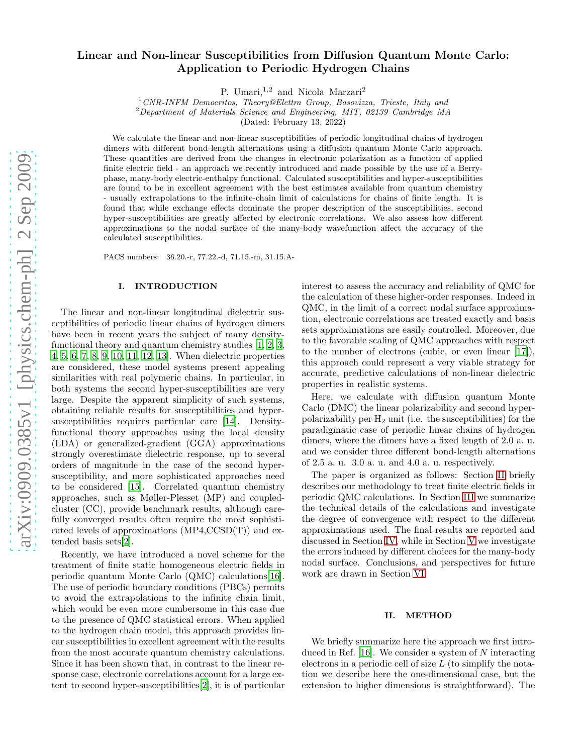# Linear and Non-linear Susceptibilities from Diffusion Quantum Monte Carlo: Application to Periodic Hydrogen Chains

P. Umari,<sup>1,2</sup> and Nicola Marzari<sup>2</sup>

 $1$  CNR-INFM Democritos, Theory@Elettra Group, Basovizza, Trieste, Italy and

<sup>2</sup>Department of Materials Science and Engineering, MIT, 02139 Cambridge MA

(Dated: February 13, 2022)

We calculate the linear and non-linear susceptibilities of periodic longitudinal chains of hydrogen dimers with different bond-length alternations using a diffusion quantum Monte Carlo approach. These quantities are derived from the changes in electronic polarization as a function of applied finite electric field - an approach we recently introduced and made possible by the use of a Berryphase, many-body electric-enthalpy functional. Calculated susceptibilities and hyper-susceptibilities are found to be in excellent agreement with the best estimates available from quantum chemistry - usually extrapolations to the infinite-chain limit of calculations for chains of finite length. It is found that while exchange effects dominate the proper description of the susceptibilities, second hyper-susceptibilities are greatly affected by electronic correlations. We also assess how different approximations to the nodal surface of the many-body wavefunction affect the accuracy of the calculated susceptibilities.

PACS numbers: 36.20.-r, 77.22.-d, 71.15.-m, 31.15.A-

#### I. INTRODUCTION

The linear and non-linear longitudinal dielectric susceptibilities of periodic linear chains of hydrogen dimers have been in recent years the subject of many densityfunctional theory and quantum chemistry studies [\[1,](#page-4-0) [2,](#page-4-1) [3](#page-4-2), [4](#page-4-3), [5,](#page-4-4) [6](#page-4-5), [7,](#page-4-6) [8,](#page-5-0) [9](#page-5-1), [10](#page-5-2), [11,](#page-5-3) [12](#page-5-4), [13\]](#page-5-5). When dielectric properties are considered, these model systems present appealing similarities with real polymeric chains. In particular, in both systems the second hyper-susceptibilities are very large. Despite the apparent simplicity of such systems, obtaining reliable results for susceptibilities and hypersusceptibilities requires particular care [\[14](#page-5-6)]. Densityfunctional theory approaches using the local density (LDA) or generalized-gradient (GGA) approximations strongly overestimate dielectric response, up to several orders of magnitude in the case of the second hypersusceptibility, and more sophisticated approaches need to be considered [\[15\]](#page-5-7). Correlated quantum chemistry approaches, such as Møller-Plesset (MP) and coupledcluster (CC), provide benchmark results, although carefully converged results often require the most sophisticated levels of approximations (MP4,CCSD(T)) and extended basis sets[\[2\]](#page-4-1).

Recently, we have introduced a novel scheme for the treatment of finite static homogeneous electric fields in periodic quantum Monte Carlo (QMC) calculations[\[16\]](#page-5-8). The use of periodic boundary conditions (PBCs) permits to avoid the extrapolations to the infinite chain limit, which would be even more cumbersome in this case due to the presence of QMC statistical errors. When applied to the hydrogen chain model, this approach provides linear susceptibilities in excellent agreement with the results from the most accurate quantum chemistry calculations. Since it has been shown that, in contrast to the linear response case, electronic correlations account for a large extent to second hyper-susceptibilities[\[2](#page-4-1)], it is of particular

interest to assess the accuracy and reliability of QMC for the calculation of these higher-order responses. Indeed in QMC, in the limit of a correct nodal surface approximation, electronic correlations are treated exactly and basis sets approximations are easily controlled. Moreover, due to the favorable scaling of QMC approaches with respect to the number of electrons (cubic, or even linear [\[17\]](#page-5-9)), this approach could represent a very viable strategy for accurate, predictive calculations of non-linear dielectric properties in realistic systems.

Here, we calculate with diffusion quantum Monte Carlo (DMC) the linear polarizability and second hyperpolarizability per  $H_2$  unit (i.e. the susceptibilities) for the paradigmatic case of periodic linear chains of hydrogen dimers, where the dimers have a fixed length of 2.0 a. u. and we consider three different bond-length alternations of 2.5 a. u. 3.0 a. u. and 4.0 a. u. respectively.

The paper is organized as follows: Section [II](#page-0-0) briefly describes our methodology to treat finite electric fields in periodic QMC calculations. In Section [III](#page-1-0) we summarize the technical details of the calculations and investigate the degree of convergence with respect to the different approximations used. The final results are reported and discussed in Section [IV,](#page-3-0) while in Section [V](#page-4-7) we investigate the errors induced by different choices for the many-body nodal surface. Conclusions, and perspectives for future work are drawn in Section [VI.](#page-4-8)

#### <span id="page-0-0"></span>II. METHOD

We briefly summarize here the approach we first introduced in Ref. [\[16\]](#page-5-8). We consider a system of N interacting electrons in a periodic cell of size  $L$  (to simplify the notation we describe here the one-dimensional case, but the extension to higher dimensions is straightforward). The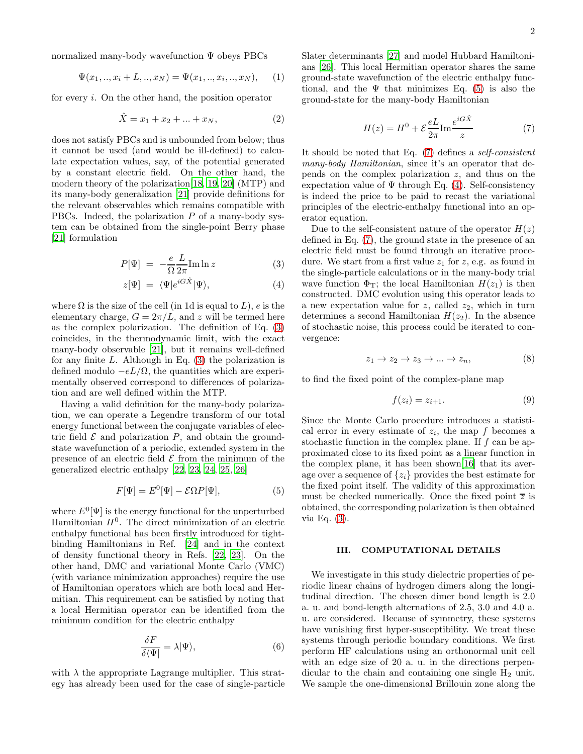normalized many-body wavefunction Ψ obeys PBCs

$$
\Psi(x_1,..,x_i+L,..,x_N) = \Psi(x_1,..,x_i,..,x_N), \quad (1)
$$

for every i. On the other hand, the position operator

$$
\hat{X} = x_1 + x_2 + \dots + x_N,\tag{2}
$$

does not satisfy PBCs and is unbounded from below; thus it cannot be used (and would be ill-defined) to calculate expectation values, say, of the potential generated by a constant electric field. On the other hand, the modern theory of the polarization[\[18,](#page-5-10) [19](#page-5-11), [20\]](#page-5-12) (MTP) and its many-body generalization [\[21](#page-5-13)] provide definitions for the relevant observables which remains compatible with PBCs. Indeed, the polarization  $P$  of a many-body system can be obtained from the single-point Berry phase [\[21\]](#page-5-13) formulation

<span id="page-1-1"></span>
$$
P[\Psi] = -\frac{e}{\Omega} \frac{L}{2\pi} \text{Im} \ln z \tag{3}
$$

$$
z[\Psi] = \langle \Psi | e^{iG\hat{X}} | \Psi \rangle, \tag{4}
$$

where  $\Omega$  is the size of the cell (in 1d is equal to L), e is the elementary charge,  $G = 2\pi/L$ , and z will be termed here as the complex polarization. The definition of Eq. [\(3\)](#page-1-1) coincides, in the thermodynamic limit, with the exact many-body observable [\[21\]](#page-5-13), but it remains well-defined for any finite  $L$ . Although in Eq. [\(3\)](#page-1-1) the polarization is defined modulo  $-eL/\Omega$ , the quantities which are experimentally observed correspond to differences of polarization and are well defined within the MTP.

Having a valid definition for the many-body polarization, we can operate a Legendre transform of our total energy functional between the conjugate variables of electric field  $\mathcal E$  and polarization  $P$ , and obtain the groundstate wavefunction of a periodic, extended system in the presence of an electric field  $\mathcal E$  from the minimum of the generalized electric enthalpy [\[22](#page-5-14), [23](#page-5-15), [24](#page-5-16), [25,](#page-5-17) [26\]](#page-5-18)

<span id="page-1-2"></span>
$$
F[\Psi] = E^{0}[\Psi] - \mathcal{E}\Omega P[\Psi],
$$
\n(5)

where  $E^0[\Psi]$  is the energy functional for the unperturbed Hamiltonian  $H^0$ . The direct minimization of an electric enthalpy functional has been firstly introduced for tightbinding Hamiltonians in Ref. [\[24\]](#page-5-16) and in the context of density functional theory in Refs. [\[22](#page-5-14), [23](#page-5-15)]. On the other hand, DMC and variational Monte Carlo (VMC) (with variance minimization approaches) require the use of Hamiltonian operators which are both local and Hermitian. This requirement can be satisfied by noting that a local Hermitian operator can be identified from the minimum condition for the electric enthalpy

$$
\frac{\delta F}{\delta \langle \Psi |} = \lambda | \Psi \rangle, \tag{6}
$$

with  $\lambda$  the appropriate Lagrange multiplier. This strategy has already been used for the case of single-particle Slater determinants [\[27\]](#page-5-19) and model Hubbard Hamiltonians [\[26\]](#page-5-18). This local Hermitian operator shares the same ground-state wavefunction of the electric enthalpy functional, and the  $\Psi$  that minimizes Eq. [\(5\)](#page-1-2) is also the ground-state for the many-body Hamiltonian

<span id="page-1-3"></span>
$$
H(z) = H^0 + \mathcal{E}\frac{eL}{2\pi}\text{Im}\frac{e^{iG\hat{X}}}{z}
$$
 (7)

It should be noted that Eq. [\(7\)](#page-1-3) defines a self-consistent many-body Hamiltonian, since it's an operator that depends on the complex polarization  $z$ , and thus on the expectation value of  $\Psi$  through Eq. [\(4\)](#page-1-1). Self-consistency is indeed the price to be paid to recast the variational principles of the electric-enthalpy functional into an operator equation.

Due to the self-consistent nature of the operator  $H(z)$ defined in Eq. [\(7\)](#page-1-3), the ground state in the presence of an electric field must be found through an iterative procedure. We start from a first value  $z_1$  for z, e.g. as found in the single-particle calculations or in the many-body trial wave function  $\Phi_T$ ; the local Hamiltonian  $H(z_1)$  is then constructed. DMC evolution using this operator leads to a new expectation value for  $z$ , called  $z_2$ , which in turn determines a second Hamiltonian  $H(z_2)$ . In the absence of stochastic noise, this process could be iterated to convergence:

<span id="page-1-5"></span>
$$
z_1 \to z_2 \to z_3 \to \dots \to z_n,\tag{8}
$$

to find the fixed point of the complex-plane map

<span id="page-1-4"></span>
$$
f(z_i) = z_{i+1}.\tag{9}
$$

Since the Monte Carlo procedure introduces a statistical error in every estimate of  $z_i$ , the map f becomes a stochastic function in the complex plane. If  $f$  can be approximated close to its fixed point as a linear function in the complex plane, it has been shown[\[16\]](#page-5-8) that its average over a sequence of  $\{z_i\}$  provides the best estimate for the fixed point itself. The validity of this approximation must be checked numerically. Once the fixed point  $\overline{z}$  is obtained, the corresponding polarization is then obtained via Eq. [\(3\)](#page-1-1).

### <span id="page-1-0"></span>III. COMPUTATIONAL DETAILS

We investigate in this study dielectric properties of periodic linear chains of hydrogen dimers along the longitudinal direction. The chosen dimer bond length is 2.0 a. u. and bond-length alternations of 2.5, 3.0 and 4.0 a. u. are considered. Because of symmetry, these systems have vanishing first hyper-susceptibility. We treat these systems through periodic boundary conditions. We first perform HF calculations using an orthonormal unit cell with an edge size of 20 a. u. in the directions perpendicular to the chain and containing one single  $H_2$  unit. We sample the one-dimensional Brillouin zone along the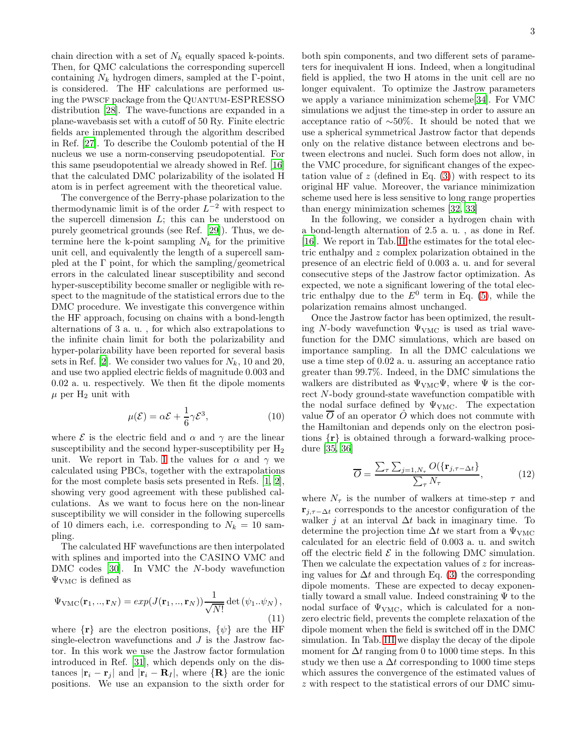chain direction with a set of  $N_k$  equally spaced k-points. Then, for QMC calculations the corresponding supercell containing  $N_k$  hydrogen dimers, sampled at the Γ-point, is considered. The HF calculations are performed using the PWSCF package from the QUANTUM-ESPRESSO distribution [\[28](#page-5-20)]. The wave-functions are expanded in a plane-wavebasis set with a cutoff of 50 Ry. Finite electric fields are implemented through the algorithm described in Ref. [\[27\]](#page-5-19). To describe the Coulomb potential of the H nucleus we use a norm-conserving pseudopotential. For this same pseudopotential we already showed in Ref. [\[16](#page-5-8)] that the calculated DMC polarizability of the isolated H atom is in perfect agreement with the theoretical value.

The convergence of the Berry-phase polarization to the thermodynamic limit is of the order  $L^{-2}$  with respect to the supercell dimension  $L$ ; this can be understood on purely geometrical grounds (see Ref. [\[29\]](#page-5-21)). Thus, we determine here the k-point sampling  $N_k$  for the primitive unit cell, and equivalently the length of a supercell sampled at the  $\Gamma$  point, for which the sampling/geometrical errors in the calculated linear susceptibility and second hyper-susceptibility become smaller or negligible with respect to the magnitude of the statistical errors due to the DMC procedure. We investigate this convergence within the HF approach, focusing on chains with a bond-length alternations of 3 a. u. , for which also extrapolations to the infinite chain limit for both the polarizability and hyper-polarizability have been reported for several basis sets in Ref. [\[2](#page-4-1)]. We consider two values for  $N_k$ , 10 and 20, and use two applied electric fields of magnitude 0.003 and 0.02 a. u. respectively. We then fit the dipole moments  $\mu$  per H<sub>2</sub> unit with

<span id="page-2-0"></span>
$$
\mu(\mathcal{E}) = \alpha \mathcal{E} + \frac{1}{6} \gamma \mathcal{E}^3,\tag{10}
$$

where  $\mathcal E$  is the electric field and  $\alpha$  and  $\gamma$  are the linear susceptibility and the second hyper-susceptibility per  $H_2$ unit. We report in Tab. [I](#page-6-0) the values for  $\alpha$  and  $\gamma$  we calculated using PBCs, together with the extrapolations for the most complete basis sets presented in Refs. [\[1,](#page-4-0) [2\]](#page-4-1), showing very good agreement with these published calculations. As we want to focus here on the non-linear susceptibility we will consider in the following supercells of 10 dimers each, i.e. corresponding to  $N_k = 10$  sampling.

The calculated HF wavefunctions are then interpolated with splines and imported into the CASINO VMC and DMC codes [\[30\]](#page-5-22). In VMC the N-body wavefunction  $\Psi_{\text{VMC}}$  is defined as

$$
\Psi_{\text{VMC}}(\mathbf{r}_1,..,\mathbf{r}_N) = exp(J(\mathbf{r}_1,..,\mathbf{r}_N)) \frac{1}{\sqrt{N!}} \det(\psi_1..\psi_N),
$$
\n(11)

where  $\{r\}$  are the electron positions,  $\{\psi\}$  are the HF single-electron wavefunctions and  $J$  is the Jastrow factor. In this work we use the Jastrow factor formulation introduced in Ref. [\[31\]](#page-5-23), which depends only on the distances  $|\mathbf{r}_i - \mathbf{r}_j|$  and  $|\mathbf{r}_i - \mathbf{R}_I|$ , where  $\{\mathbf{R}\}\$  are the ionic positions. We use an expansion to the sixth order for 3

both spin components, and two different sets of parameters for inequivalent H ions. Indeed, when a longitudinal field is applied, the two H atoms in the unit cell are no longer equivalent. To optimize the Jastrow parameters we apply a variance minimization scheme[\[34\]](#page-5-24). For VMC simulations we adjust the time-step in order to assure an acceptance ratio of ∼50%. It should be noted that we use a spherical symmetrical Jastrow factor that depends only on the relative distance between electrons and between electrons and nuclei. Such form does not allow, in the VMC procedure, for significant changes of the expectation value of  $z$  (defined in Eq. [\(3\)](#page-1-1)) with respect to its original HF value. Moreover, the variance minimization scheme used here is less sensitive to long range properties than energy minimization schemes [\[32](#page-5-25), [33](#page-5-26)]

In the following, we consider a hydrogen chain with a bond-length alternation of 2.5 a. u. , as done in Ref. [\[16\]](#page-5-8). We report in Tab. [II](#page-6-1) the estimates for the total electric enthalpy and z complex polarization obtained in the presence of an electric field of 0.003 a. u. and for several consecutive steps of the Jastrow factor optimization. As expected, we note a significant lowering of the total electric enthalpy due to the  $E^0$  term in Eq. [\(5\)](#page-1-2), while the polarization remains almost unchanged.

Once the Jastrow factor has been optimized, the resulting N-body wavefunction  $\Psi_{\text{VMC}}$  is used as trial wavefunction for the DMC simulations, which are based on importance sampling. In all the DMC calculations we use a time step of 0.02 a. u. assuring an acceptance ratio greater than 99.7%. Indeed, in the DMC simulations the walkers are distributed as  $\Psi_{\text{VMC}}\Psi$ , where  $\Psi$  is the correct N-body ground-state wavefunction compatible with the nodal surface defined by  $\Psi_{VMC}$ . The expectation value  $\overline{O}$  of an operator  $\overline{O}$  which does not commute with the Hamiltonian and depends only on the electron positions {r} is obtained through a forward-walking procedure [\[35,](#page-5-27) [36\]](#page-5-28)

$$
\overline{O} = \frac{\sum_{\tau} \sum_{j=1, N_{\tau}} O(\{\mathbf{r}_{j,\tau-\Delta t}\}}{\sum_{\tau} N_{\tau}}, \tag{12}
$$

where  $N_{\tau}$  is the number of walkers at time-step  $\tau$  and  $\mathbf{r}_{i,\tau-\Delta t}$  corresponds to the ancestor configuration of the walker j at an interval  $\Delta t$  back in imaginary time. To determine the projection time  $\Delta t$  we start from a  $\Psi_{\text{VMC}}$ calculated for an electric field of 0.003 a. u. and switch off the electric field  $\mathcal E$  in the following DMC simulation. Then we calculate the expectation values of z for increasing values for  $\Delta t$  and through Eq. [\(3\)](#page-1-1) the corresponding dipole moments. These are expected to decay exponentially toward a small value. Indeed constraining  $\Psi$  to the nodal surface of  $\Psi_{\text{VMC}}$ , which is calculated for a nonzero electric field, prevents the complete relaxation of the dipole moment when the field is switched off in the DMC simulation. In Tab. [III](#page-6-2) we display the decay of the dipole moment for  $\Delta t$  ranging from 0 to 1000 time steps. In this study we then use a  $\Delta t$  corresponding to 1000 time steps which assures the convergence of the estimated values of z with respect to the statistical errors of our DMC simu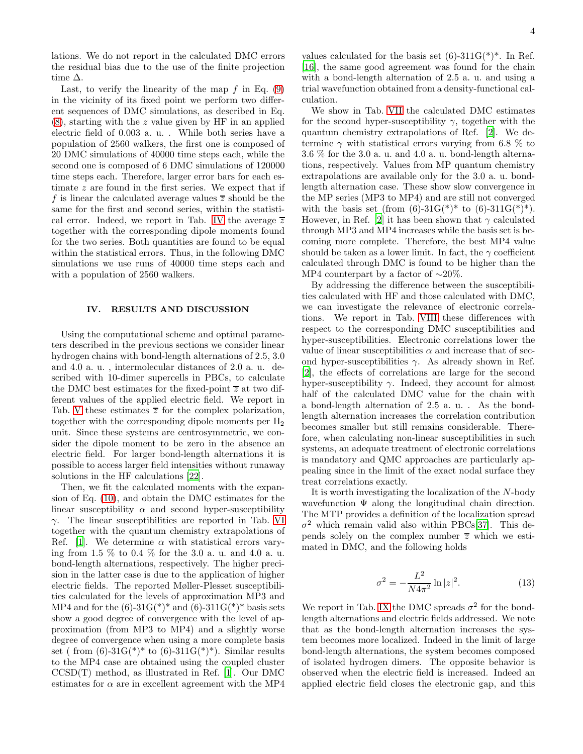lations. We do not report in the calculated DMC errors the residual bias due to the use of the finite projection time  $\Delta$ .

Last, to verify the linearity of the map  $f$  in Eq. [\(9\)](#page-1-4) in the vicinity of its fixed point we perform two different sequences of DMC simulations, as described in Eq. [\(8\)](#page-1-5), starting with the z value given by HF in an applied electric field of 0.003 a. u. . While both series have a population of 2560 walkers, the first one is composed of 20 DMC simulations of 40000 time steps each, while the second one is composed of 6 DMC simulations of 120000 time steps each. Therefore, larger error bars for each estimate  $z$  are found in the first series. We expect that if f is linear the calculated average values  $\overline{z}$  should be the same for the first and second series, within the statisti-cal error. Indeed, we report in Tab. [IV](#page-7-0) the average  $\overline{z}$ together with the corresponding dipole moments found for the two series. Both quantities are found to be equal within the statistical errors. Thus, in the following DMC simulations we use runs of 40000 time steps each and with a population of 2560 walkers.

## <span id="page-3-0"></span>IV. RESULTS AND DISCUSSION

Using the computational scheme and optimal parameters described in the previous sections we consider linear hydrogen chains with bond-length alternations of 2.5, 3.0 and 4.0 a. u. , intermolecular distances of 2.0 a. u. described with 10-dimer supercells in PBCs, to calculate the DMC best estimates for the fixed-point  $\overline{z}$  at two different values of the applied electric field. We report in Tab. [V](#page-7-1) these estimates  $\overline{z}$  for the complex polarization, together with the corresponding dipole moments per  $H_2$ unit. Since these systems are centrosymmetric, we consider the dipole moment to be zero in the absence an electric field. For larger bond-length alternations it is possible to access larger field intensities without runaway solutions in the HF calculations [\[22\]](#page-5-14).

Then, we fit the calculated moments with the expansion of Eq. [\(10\)](#page-2-0), and obtain the DMC estimates for the linear susceptibility  $\alpha$  and second hyper-susceptibility  $\gamma$ . The linear susceptibilities are reported in Tab. [VI](#page-7-2) together with the quantum chemistry extrapolations of Ref. [\[1\]](#page-4-0). We determine  $\alpha$  with statistical errors varying from 1.5 % to 0.4 % for the 3.0 a. u. and 4.0 a. u. bond-length alternations, respectively. The higher precision in the latter case is due to the application of higher electric fields. The reported Møller-Plesset susceptibilities calculated for the levels of approximation MP3 and MP4 and for the  $(6)-31G(*)^*$  and  $(6)-311G(*)^*$  basis sets show a good degree of convergence with the level of approximation (from MP3 to MP4) and a slightly worse degree of convergence when using a more complete basis set ( from  $(6)$ -31 $G^{(*)*}$  to  $(6)$ -311 $G^{(*)*}$ ). Similar results to the MP4 case are obtained using the coupled cluster CCSD(T) method, as illustrated in Ref. [\[1\]](#page-4-0). Our DMC estimates for  $\alpha$  are in excellent agreement with the MP4

values calculated for the basis set  $(6)-311G(*)^*$ . In Ref. [\[16\]](#page-5-8), the same good agreement was found for the chain with a bond-length alternation of 2.5 a. u. and using a trial wavefunction obtained from a density-functional calculation.

We show in Tab. [VII](#page-7-3) the calculated DMC estimates for the second hyper-susceptibility  $\gamma$ , together with the quantum chemistry extrapolations of Ref. [\[2\]](#page-4-1). We determine  $\gamma$  with statistical errors varying from 6.8 % to 3.6 % for the 3.0 a. u. and 4.0 a. u. bond-length alternations, respectively. Values from MP quantum chemistry extrapolations are available only for the 3.0 a. u. bondlength alternation case. These show slow convergence in the MP series (MP3 to MP4) and are still not converged with the basis set (from  $(6)$ -31 $G(*)^*$  to  $(6)$ -311 $G(*)^*$ ). However, in Ref. [\[2](#page-4-1)] it has been shown that  $\gamma$  calculated through MP3 and MP4 increases while the basis set is becoming more complete. Therefore, the best MP4 value should be taken as a lower limit. In fact, the  $\gamma$  coefficient calculated through DMC is found to be higher than the MP4 counterpart by a factor of ∼20%.

By addressing the difference between the susceptibilities calculated with HF and those calculated with DMC, we can investigate the relevance of electronic correlations. We report in Tab. [VIII](#page-7-4) these differences with respect to the corresponding DMC susceptibilities and hyper-susceptibilities. Electronic correlations lower the value of linear susceptibilities  $\alpha$  and increase that of second hyper-susceptibilities  $\gamma$ . As already shown in Ref. [\[2\]](#page-4-1), the effects of correlations are large for the second hyper-susceptibility  $\gamma$ . Indeed, they account for almost half of the calculated DMC value for the chain with a bond-length alternation of 2.5 a. u. . As the bondlength alternation increases the correlation contribution becomes smaller but still remains considerable. Therefore, when calculating non-linear susceptibilities in such systems, an adequate treatment of electronic correlations is mandatory and QMC approaches are particularly appealing since in the limit of the exact nodal surface they treat correlations exactly.

It is worth investigating the localization of the N-body wavefunction  $\Psi$  along the longitudinal chain direction. The MTP provides a definition of the localization spread  $\sigma^2$  which remain valid also within PBCs[\[37\]](#page-5-29). This depends solely on the complex number  $\overline{z}$  which we estimated in DMC, and the following holds

$$
\sigma^2 = -\frac{L^2}{N4\pi^2} \ln|z|^2.
$$
 (13)

We report in Tab. [IX](#page-8-0) the DMC spreads  $\sigma^2$  for the bondlength alternations and electric fields addressed. We note that as the bond-length alternation increases the system becomes more localized. Indeed in the limit of large bond-length alternations, the system becomes composed of isolated hydrogen dimers. The opposite behavior is observed when the electric field is increased. Indeed an applied electric field closes the electronic gap, and this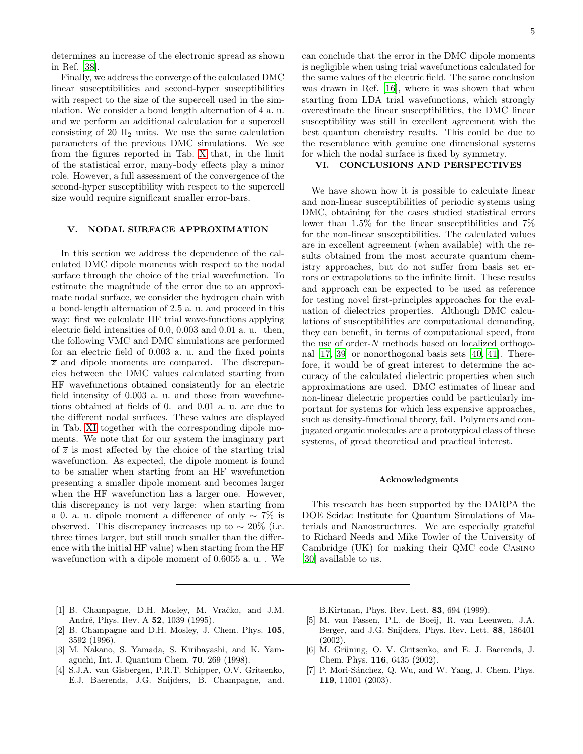determines an increase of the electronic spread as shown in Ref. [\[38](#page-5-30)].

Finally, we address the converge of the calculated DMC linear susceptibilities and second-hyper susceptibilities with respect to the size of the supercell used in the simulation. We consider a bond length alternation of 4 a. u. and we perform an additional calculation for a supercell consisting of 20  $H_2$  units. We use the same calculation parameters of the previous DMC simulations. We see from the figures reported in Tab. [X](#page-8-1) that, in the limit of the statistical error, many-body effects play a minor role. However, a full assessment of the convergence of the second-hyper susceptibility with respect to the supercell size would require significant smaller error-bars.

## <span id="page-4-7"></span>V. NODAL SURFACE APPROXIMATION

In this section we address the dependence of the calculated DMC dipole moments with respect to the nodal surface through the choice of the trial wavefunction. To estimate the magnitude of the error due to an approximate nodal surface, we consider the hydrogen chain with a bond-length alternation of 2.5 a. u. and proceed in this way: first we calculate HF trial wave-functions applying electric field intensities of 0.0, 0.003 and 0.01 a. u. then, the following VMC and DMC simulations are performed for an electric field of 0.003 a. u. and the fixed points  $\overline{z}$  and dipole moments are compared. The discrepancies between the DMC values calculated starting from HF wavefunctions obtained consistently for an electric field intensity of 0.003 a. u. and those from wavefunctions obtained at fields of 0. and 0.01 a. u. are due to the different nodal surfaces. These values are displayed in Tab. [XI](#page-8-2) together with the corresponding dipole moments. We note that for our system the imaginary part of  $\overline{z}$  is most affected by the choice of the starting trial wavefunction. As expected, the dipole moment is found to be smaller when starting from an HF wavefunction presenting a smaller dipole moment and becomes larger when the HF wavefunction has a larger one. However, this discrepancy is not very large: when starting from a 0. a. u. dipole moment a difference of only ∼ 7% is observed. This discrepancy increases up to  $\sim 20\%$  (i.e. three times larger, but still much smaller than the difference with the initial HF value) when starting from the HF wavefunction with a dipole moment of 0.6055 a. u. . We

can conclude that the error in the DMC dipole moments is negligible when using trial wavefunctions calculated for the same values of the electric field. The same conclusion was drawn in Ref. [\[16](#page-5-8)], where it was shown that when starting from LDA trial wavefunctions, which strongly overestimate the linear susceptibilities, the DMC linear susceptibility was still in excellent agreement with the best quantum chemistry results. This could be due to the resemblance with genuine one dimensional systems for which the nodal surface is fixed by symmetry.

### <span id="page-4-8"></span>VI. CONCLUSIONS AND PERSPECTIVES

We have shown how it is possible to calculate linear and non-linear susceptibilities of periodic systems using DMC, obtaining for the cases studied statistical errors lower than 1.5% for the linear susceptibilities and 7% for the non-linear susceptibilities. The calculated values are in excellent agreement (when available) with the results obtained from the most accurate quantum chemistry approaches, but do not suffer from basis set errors or extrapolations to the infinite limit. These results and approach can be expected to be used as reference for testing novel first-principles approaches for the evaluation of dielectrics properties. Although DMC calculations of susceptibilities are computational demanding, they can benefit, in terms of computational speed, from the use of order-N methods based on localized orthogonal [\[17,](#page-5-9) [39](#page-5-31)] or nonorthogonal basis sets [\[40,](#page-5-32) [41](#page-5-33)]. Therefore, it would be of great interest to determine the accuracy of the calculated dielectric properties when such approximations are used. DMC estimates of linear and non-linear dielectric properties could be particularly important for systems for which less expensive approaches, such as density-functional theory, fail. Polymers and conjugated organic molecules are a prototypical class of these systems, of great theoretical and practical interest.

#### Acknowledgments

This research has been supported by the DARPA the DOE Scidac Institute for Quantum Simulations of Materials and Nanostructures. We are especially grateful to Richard Needs and Mike Towler of the University of Cambridge (UK) for making their QMC code Casino [\[30\]](#page-5-22) available to us.

- <span id="page-4-0"></span>[1] B. Champagne, D.H. Mosley, M. Vračko, and J.M. André, Phys. Rev. A **52**, 1039 (1995).
- <span id="page-4-1"></span>[2] B. Champagne and D.H. Mosley, J. Chem. Phys. 105, 3592 (1996).
- <span id="page-4-2"></span>[3] M. Nakano, S. Yamada, S. Kiribayashi, and K. Yamaguchi, Int. J. Quantum Chem. 70, 269 (1998).
- <span id="page-4-3"></span>[4] S.J.A. van Gisbergen, P.R.T. Schipper, O.V. Gritsenko, E.J. Baerends, J.G. Snijders, B. Champagne, and.

B.Kirtman, Phys. Rev. Lett. 83, 694 (1999).

- <span id="page-4-4"></span>[5] M. van Fassen, P.L. de Boeij, R. van Leeuwen, J.A. Berger, and J.G. Snijders, Phys. Rev. Lett. 88, 186401 (2002).
- <span id="page-4-5"></span>[6] M. Grüning, O. V. Gritsenko, and E. J. Baerends, J. Chem. Phys. 116, 6435 (2002).
- <span id="page-4-6"></span>[7] P. Mori-Sánchez, Q. Wu, and W. Yang, J. Chem. Phys. 119, 11001 (2003).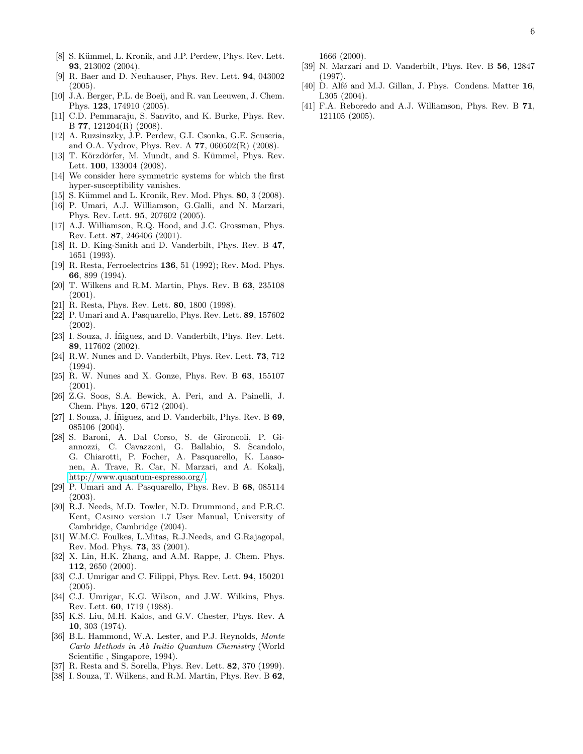- <span id="page-5-0"></span>[8] S. Kümmel, L. Kronik, and J.P. Perdew, Phys. Rev. Lett. 93, 213002 (2004).
- <span id="page-5-1"></span>[9] R. Baer and D. Neuhauser, Phys. Rev. Lett. 94, 043002  $(2005).$
- <span id="page-5-2"></span>[10] J.A. Berger, P.L. de Boeij, and R. van Leeuwen, J. Chem. Phys. 123, 174910 (2005).
- <span id="page-5-3"></span>[11] C.D. Pemmaraju, S. Sanvito, and K. Burke, Phys. Rev. B 77, 121204(R) (2008).
- <span id="page-5-4"></span>[12] A. Ruzsinszky, J.P. Perdew, G.I. Csonka, G.E. Scuseria, and O.A. Vydrov, Phys. Rev. A 77, 060502(R) (2008).
- <span id="page-5-5"></span>[13] T. Körzdörfer, M. Mundt, and S. Kümmel, Phys. Rev. Lett. 100, 133004 (2008).
- <span id="page-5-6"></span>[14] We consider here symmetric systems for which the first hyper-susceptibility vanishes.
- <span id="page-5-7"></span>[15] S. Kümmel and L. Kronik, Rev. Mod. Phys. 80, 3 (2008).
- <span id="page-5-8"></span>[16] P. Umari, A.J. Williamson, G.Galli, and N. Marzari, Phys. Rev. Lett. 95, 207602 (2005).
- <span id="page-5-9"></span>[17] A.J. Williamson, R.Q. Hood, and J.C. Grossman, Phys. Rev. Lett. 87, 246406 (2001).
- <span id="page-5-10"></span>[18] R. D. King-Smith and D. Vanderbilt, Phys. Rev. B 47, 1651 (1993).
- <span id="page-5-11"></span>[19] R. Resta, Ferroelectrics 136, 51 (1992); Rev. Mod. Phys. 66, 899 (1994).
- <span id="page-5-12"></span>[20] T. Wilkens and R.M. Martin, Phys. Rev. B 63, 235108 (2001).
- <span id="page-5-13"></span>[21] R. Resta, Phys. Rev. Lett. 80, 1800 (1998).
- <span id="page-5-14"></span>[22] P. Umari and A. Pasquarello, Phys. Rev. Lett. 89, 157602 (2002).
- <span id="page-5-15"></span>[23] I. Souza, J. Iniguez, and D. Vanderbilt, Phys. Rev. Lett. 89, 117602 (2002).
- <span id="page-5-16"></span>[24] R.W. Nunes and D. Vanderbilt, Phys. Rev. Lett. 73, 712 (1994).
- <span id="page-5-17"></span>[25] R. W. Nunes and X. Gonze, Phys. Rev. B 63, 155107 (2001).
- <span id="page-5-18"></span>[26] Z.G. Soos, S.A. Bewick, A. Peri, and A. Painelli, J. Chem. Phys. 120, 6712 (2004).
- <span id="page-5-19"></span>[27] I. Souza, J. Iniguez, and D. Vanderbilt, Phys. Rev. B 69, 085106 (2004).
- <span id="page-5-20"></span>[28] S. Baroni, A. Dal Corso, S. de Gironcoli, P. Giannozzi, C. Cavazzoni, G. Ballabio, S. Scandolo, G. Chiarotti, P. Focher, A. Pasquarello, K. Laasonen, A. Trave, R. Car, N. Marzari, and A. Kokalj, [http://www.quantum-espresso.org/.](http://www.quantum-espresso.org/)
- <span id="page-5-21"></span>[29] P. Umari and A. Pasquarello, Phys. Rev. B 68, 085114 (2003).
- <span id="page-5-22"></span>[30] R.J. Needs, M.D. Towler, N.D. Drummond, and P.R.C. Kent, Casino version 1.7 User Manual, University of Cambridge, Cambridge (2004).
- <span id="page-5-23"></span>[31] W.M.C. Foulkes, L.Mitas, R.J.Needs, and G.Rajagopal, Rev. Mod. Phys. 73, 33 (2001).
- <span id="page-5-25"></span>[32] X. Lin, H.K. Zhang, and A.M. Rappe, J. Chem. Phys. 112, 2650 (2000).
- <span id="page-5-26"></span>[33] C.J. Umrigar and C. Filippi, Phys. Rev. Lett. **94**, 150201 (2005).
- <span id="page-5-24"></span>[34] C.J. Umrigar, K.G. Wilson, and J.W. Wilkins, Phys. Rev. Lett. 60, 1719 (1988).
- <span id="page-5-27"></span>[35] K.S. Liu, M.H. Kalos, and G.V. Chester, Phys. Rev. A 10, 303 (1974).
- <span id="page-5-28"></span>[36] B.L. Hammond, W.A. Lester, and P.J. Reynolds, Monte Carlo Methods in Ab Initio Quantum Chemistry (World Scientific , Singapore, 1994).
- <span id="page-5-29"></span>[37] R. Resta and S. Sorella, Phys. Rev. Lett. 82, 370 (1999).
- <span id="page-5-30"></span>[38] I. Souza, T. Wilkens, and R.M. Martin, Phys. Rev. B 62,

1666 (2000).

- <span id="page-5-31"></span>[39] N. Marzari and D. Vanderbilt, Phys. Rev. B 56, 12847 (1997).
- <span id="page-5-32"></span>[40] D. Alfé and M.J. Gillan, J. Phys. Condens. Matter 16, L305 (2004).
- <span id="page-5-33"></span>[41] F.A. Reboredo and A.J. Williamson, Phys. Rev. B 71, 121105 (2005).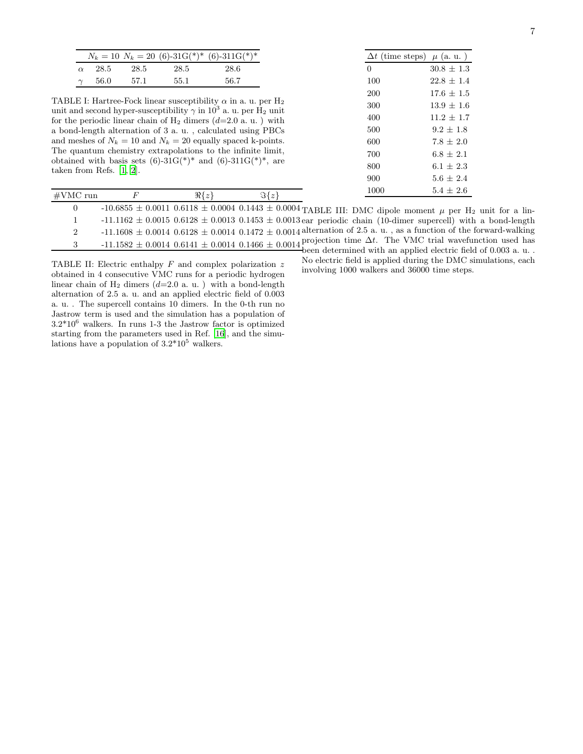| ٠ |
|---|
| I |
|   |
|   |

|          |        |      |      | $N_k = 10 N_k = 20 (6)-31 \text{G}(\cdot^*)^* (6)-311 \text{G}(\cdot^*)^*$ |
|----------|--------|------|------|----------------------------------------------------------------------------|
| $\alpha$ | -28.5  | 28.5 | 28.5 | 28.6                                                                       |
|          | - 56.0 | 57.1 | 55.1 | 56.7                                                                       |

<span id="page-6-0"></span>TABLE I: Hartree-Fock linear susceptibility  $\alpha$  in a. u. per H<sub>2</sub> unit and second hyper-susceptibility  $\gamma$  in  $10^3$  a. u. per  $\hat{H}_2$  unit for the periodic linear chain of  $H_2$  dimers  $(d=2.0 \text{ a. u.})$  with a bond-length alternation of 3 a. u. , calculated using PBCs and meshes of  $N_k = 10$  and  $N_k = 20$  equally spaced k-points. The quantum chemistry extrapolations to the infinite limit, obtained with basis sets  $(6)-31G(*)^*$  and  $(6)-311G(*)^*$ , are taken from Refs. [\[1](#page-4-0), [2](#page-4-1)].

| $\Delta t$ (time steps) $\mu$ (a. u.) |                |
|---------------------------------------|----------------|
| $\Omega$                              | $30.8 + 1.3$   |
| 100                                   | $22.8 + 1.4$   |
| 200                                   | $17.6 + 1.5$   |
| 300                                   | $13.9 \pm 1.6$ |
| 400                                   | $11.2 + 1.7$   |
| 500                                   | $9.2 + 1.8$    |
| 600                                   | $7.8 + 2.0$    |
| 700                                   | $6.8 + 2.1$    |
| 800                                   | $6.1 + 2.3$    |
| 900                                   | $5.6 + 2.4$    |
| 1000                                  | $5.4 + 2.6$    |

| #VMC run | $\Re\{z\}$ | $\Im\{z\}$ | TOOO                                                                                                                                |  |
|----------|------------|------------|-------------------------------------------------------------------------------------------------------------------------------------|--|
|          |            |            | $-10.6855 \pm 0.0011$ 0.6118 $\pm$ 0.0004 0.1443 $\pm$ 0.0004 TABLE III: DMC dipole moment $\mu$ per H <sub>2</sub> unit for a lin- |  |
|          |            |            | $-11.1162 \pm 0.0015$ 0.6128 $\pm$ 0.0013 0.1453 $\pm$ 0.0013 ear periodic chain (10-dimer supercell) with a bond-length            |  |
|          |            |            | $-11.1608 \pm 0.0014$ 0.6128 $\pm$ 0.0014 0.1472 $\pm$ 0.0014 alternation of 2.5 a. u., as a function of the forward-walking        |  |
|          |            |            | $-11.1582 \pm 0.0014$ 0.6141 $\pm$ 0.0014 0.1466 $\pm$ 0.0014 projection time $\Delta t$ . The VMC trial wavefunction used has      |  |
|          |            |            | been determined with an applied electric field of $0.003$ a.u                                                                       |  |

<span id="page-6-2"></span>No electric field is applied during the DMC simulations, each involving 1000 walkers and 36000 time steps.

<span id="page-6-1"></span>TABLE II: Electric enthalpy  $F$  and complex polarization  $z$ obtained in 4 consecutive VMC runs for a periodic hydrogen linear chain of  $H_2$  dimers  $(d=2.0 \text{ a. u.})$  with a bond-length alternation of 2.5 a. u. and an applied electric field of 0.003 a. u. . The supercell contains 10 dimers. In the 0-th run no Jastrow term is used and the simulation has a population of  $3.2*10<sup>6</sup>$  walkers. In runs 1-3 the Jastrow factor is optimized starting from the parameters used in Ref. [\[16\]](#page-5-8), and the simulations have a population of  $3.2*10<sup>5</sup>$  walkers.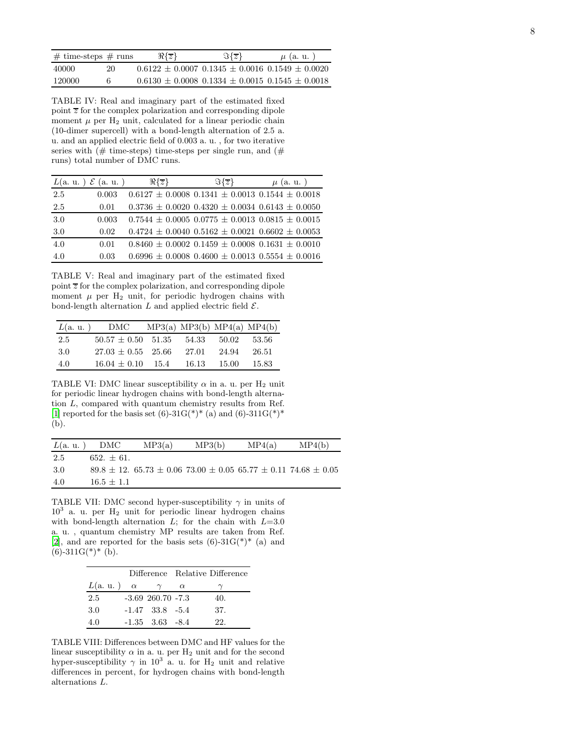| $\#$ time-steps $\#$ runs |    | $\Re\{z\}$ | $\Im\{z\}$                                            | $\mu$ (a. u.) |
|---------------------------|----|------------|-------------------------------------------------------|---------------|
| 40000                     | 20 |            | $0.6122 + 0.0007$ $0.1345 + 0.0016$ $0.1549 + 0.0020$ |               |
| 120000                    |    |            | $0.6130 + 0.0008$ $0.1334 + 0.0015$ $0.1545 + 0.0018$ |               |

<span id="page-7-0"></span>TABLE IV: Real and imaginary part of the estimated fixed point  $\overline{z}$  for the complex polarization and corresponding dipole moment  $\mu$  per  $H_2$  unit, calculated for a linear periodic chain (10-dimer supercell) with a bond-length alternation of 2.5 a. u. and an applied electric field of 0.003 a. u. , for two iterative series with  $(\# \text{ time-steps})$  time-steps per single run, and  $(\# \text{ time-steps})$ runs) total number of DMC runs.

|     | $L(a. u. ) \mathcal{E}(a. u. )$ | $\Re\{z\}$ | $\Im\{z\}$                                                  | $\mu$ (a. u.) |
|-----|---------------------------------|------------|-------------------------------------------------------------|---------------|
| 2.5 | 0.003                           |            | $0.6127 \pm 0.0008$ $0.1341 \pm 0.0013$ $0.1544 \pm 0.0018$ |               |
| 2.5 | 0.01                            |            | $0.3736 \pm 0.0020$ $0.4320 \pm 0.0034$ $0.6143 \pm 0.0050$ |               |
| 3.0 | 0.003                           |            | $0.7544 \pm 0.0005$ $0.0775 \pm 0.0013$ $0.0815 \pm 0.0015$ |               |
| 3.0 | 0.02                            |            | $0.4724 \pm 0.0040$ $0.5162 \pm 0.0021$ $0.6602 \pm 0.0053$ |               |
| 4.0 | 0.01                            |            | $0.8460 \pm 0.0002$ $0.1459 \pm 0.0008$ $0.1631 \pm 0.0010$ |               |
| 4.0 | 0.03                            |            | $0.6996 \pm 0.0008$ $0.4600 \pm 0.0013$ $0.5554 \pm 0.0016$ |               |

<span id="page-7-1"></span>TABLE V: Real and imaginary part of the estimated fixed point  $\overline{z}$  for the complex polarization, and corresponding dipole moment  $\mu$  per H<sub>2</sub> unit, for periodic hydrogen chains with bond-length alternation L and applied electric field  $\mathcal{E}$ .

| L(a. u.) | $\rm DMC$              | MP3(a) MP3(b) MP4(a) MP4(b) |       |        |
|----------|------------------------|-----------------------------|-------|--------|
| -2.5     | $50.57 \pm 0.50$ 51.35 | - 54.33                     | 50.02 | -53.56 |
| 3.0      | $27.03 + 0.55$ 25.66   | -27.01                      | 24.94 | 26.51  |
| 4.0      | $16.04 + 0.10$ 15.4    | 16.13                       | 15.00 | 15.83  |

<span id="page-7-2"></span>TABLE VI: DMC linear susceptibility  $\alpha$  in a. u. per H<sub>2</sub> unit for periodic linear hydrogen chains with bond-length alternation L, compared with quantum chemistry results from Ref. [\[1](#page-4-0)] reported for the basis set  $(6)-31G(*)^*$  (a) and  $(6)-311G(*)^*$ (b).

| L(a, u.) | DMC          | MP3(a)                                                                              | MP3(b) | MP4(a) | MP4(b) |
|----------|--------------|-------------------------------------------------------------------------------------|--------|--------|--------|
| 2.5      | $652 + 61$ . |                                                                                     |        |        |        |
| -3.0     |              | $89.8 \pm 12$ , $65.73 \pm 0.06$ $73.00 \pm 0.05$ $65.77 \pm 0.11$ $74.68 \pm 0.05$ |        |        |        |
| 4.0      | $16.5 + 1.1$ |                                                                                     |        |        |        |

<span id="page-7-3"></span>TABLE VII: DMC second hyper-susceptibility  $\gamma$  in units of 10<sup>3</sup> a. u. per H<sup>2</sup> unit for periodic linear hydrogen chains with bond-length alternation  $L$ ; for the chain with  $L=3.0$ a. u. , quantum chemistry MP results are taken from Ref. [\[2](#page-4-1)], and are reported for the basis sets  $(6)-31G(*)^*$  (a) and  $(6)$ -311G(\*)\* (b).

|          |          |                       |          | Difference Relative Difference |
|----------|----------|-----------------------|----------|--------------------------------|
| L(a. u.) | $\alpha$ |                       | $\alpha$ |                                |
| 2.5      |          | $-3.69$ 260.70 $-7.3$ |          | 40.                            |
| 3.0      |          | $-1.47$ $33.8$ $-5.4$ |          | 37.                            |
| 4.0      |          | $-1.35$ $3.63$ $-8.4$ |          | 22.                            |

<span id="page-7-4"></span>TABLE VIII: Differences between DMC and HF values for the linear susceptibility  $\alpha$  in a. u. per  $\rm H_2$  unit and for the second hyper-susceptibility  $\gamma$  in 10<sup>3</sup> a. u. for H<sub>2</sub> unit and relative differences in percent, for hydrogen chains with bond-length alternations L.